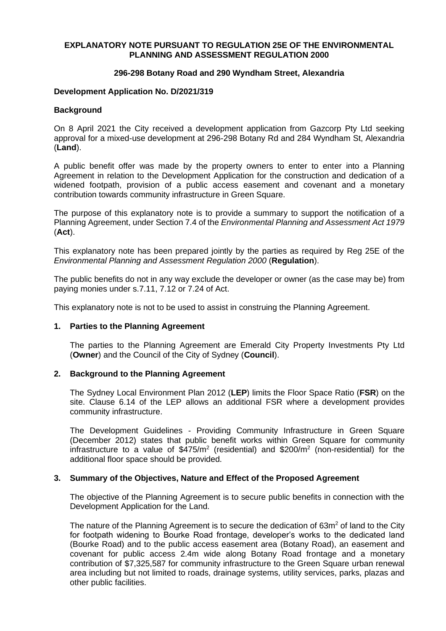# **EXPLANATORY NOTE PURSUANT TO REGULATION 25E OF THE ENVIRONMENTAL PLANNING AND ASSESSMENT REGULATION 2000**

# **296-298 Botany Road and 290 Wyndham Street, Alexandria**

# **Development Application No. D/2021/319**

# **Background**

On 8 April 2021 the City received a development application from Gazcorp Pty Ltd seeking approval for a mixed-use development at 296-298 Botany Rd and 284 Wyndham St, Alexandria (**Land**).

A public benefit offer was made by the property owners to enter to enter into a Planning Agreement in relation to the Development Application for the construction and dedication of a widened footpath, provision of a public access easement and covenant and a monetary contribution towards community infrastructure in Green Square.

The purpose of this explanatory note is to provide a summary to support the notification of a Planning Agreement, under Section 7.4 of the *Environmental Planning and Assessment Act 1979*  (**Act**).

This explanatory note has been prepared jointly by the parties as required by Reg 25E of the *Environmental Planning and Assessment Regulation 2000* (**Regulation**).

The public benefits do not in any way exclude the developer or owner (as the case may be) from paying monies under s.7.11, 7.12 or 7.24 of Act.

This explanatory note is not to be used to assist in construing the Planning Agreement.

## **1. Parties to the Planning Agreement**

The parties to the Planning Agreement are Emerald City Property Investments Pty Ltd (**Owner**) and the Council of the City of Sydney (**Council**).

## **2. Background to the Planning Agreement**

The Sydney Local Environment Plan 2012 (**LEP**) limits the Floor Space Ratio (**FSR**) on the site. Clause 6.14 of the LEP allows an additional FSR where a development provides community infrastructure.

The Development Guidelines - Providing Community Infrastructure in Green Square (December 2012) states that public benefit works within Green Square for community infrastructure to a value of  $$475/m^2$  (residential) and  $$200/m^2$  (non-residential) for the additional floor space should be provided.

## **3. Summary of the Objectives, Nature and Effect of the Proposed Agreement**

The objective of the Planning Agreement is to secure public benefits in connection with the Development Application for the Land.

The nature of the Planning Agreement is to secure the dedication of 63m<sup>2</sup> of land to the City for footpath widening to Bourke Road frontage, developer's works to the dedicated land (Bourke Road) and to the public access easement area (Botany Road), an easement and covenant for public access 2.4m wide along Botany Road frontage and a monetary contribution of \$7,325,587 for community infrastructure to the Green Square urban renewal area including but not limited to roads, drainage systems, utility services, parks, plazas and other public facilities.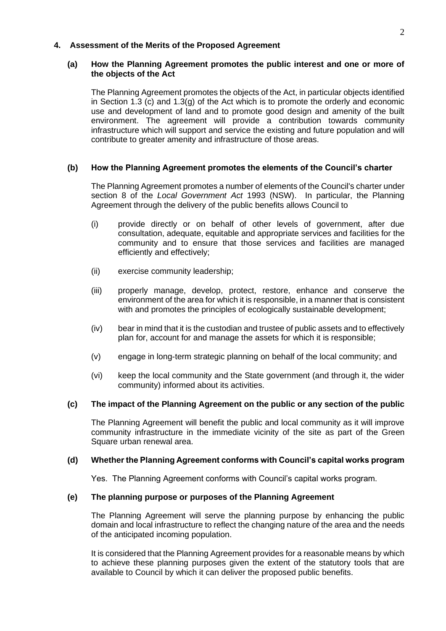# **4. Assessment of the Merits of the Proposed Agreement**

# **(a) How the Planning Agreement promotes the public interest and one or more of the objects of the Act**

The Planning Agreement promotes the objects of the Act, in particular objects identified in Section 1.3 (c) and 1.3(g) of the Act which is to promote the orderly and economic use and development of land and to promote good design and amenity of the built environment. The agreement will provide a contribution towards community infrastructure which will support and service the existing and future population and will contribute to greater amenity and infrastructure of those areas.

# **(b) How the Planning Agreement promotes the elements of the Council's charter**

The Planning Agreement promotes a number of elements of the Council's charter under section 8 of the *Local Government Act* 1993 (NSW). In particular, the Planning Agreement through the delivery of the public benefits allows Council to

- (i) provide directly or on behalf of other levels of government, after due consultation, adequate, equitable and appropriate services and facilities for the community and to ensure that those services and facilities are managed efficiently and effectively;
- (ii) exercise community leadership;
- (iii) properly manage, develop, protect, restore, enhance and conserve the environment of the area for which it is responsible, in a manner that is consistent with and promotes the principles of ecologically sustainable development;
- (iv) bear in mind that it is the custodian and trustee of public assets and to effectively plan for, account for and manage the assets for which it is responsible;
- (v) engage in long-term strategic planning on behalf of the local community; and
- (vi) keep the local community and the State government (and through it, the wider community) informed about its activities.

## **(c) The impact of the Planning Agreement on the public or any section of the public**

The Planning Agreement will benefit the public and local community as it will improve community infrastructure in the immediate vicinity of the site as part of the Green Square urban renewal area.

## **(d) Whether the Planning Agreement conforms with Council's capital works program**

Yes. The Planning Agreement conforms with Council's capital works program.

## **(e) The planning purpose or purposes of the Planning Agreement**

The Planning Agreement will serve the planning purpose by enhancing the public domain and local infrastructure to reflect the changing nature of the area and the needs of the anticipated incoming population.

It is considered that the Planning Agreement provides for a reasonable means by which to achieve these planning purposes given the extent of the statutory tools that are available to Council by which it can deliver the proposed public benefits.